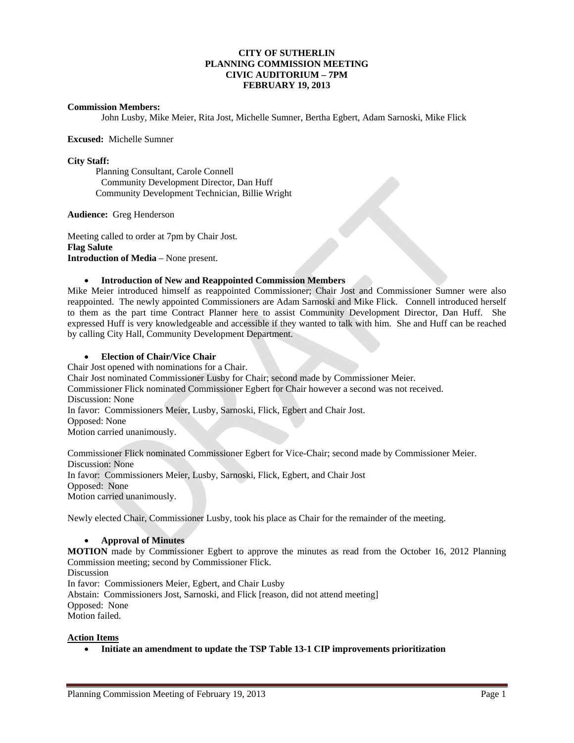## **CITY OF SUTHERLIN PLANNING COMMISSION MEETING CIVIC AUDITORIUM – 7PM FEBRUARY 19, 2013**

#### **Commission Members:**

John Lusby, Mike Meier, Rita Jost, Michelle Sumner, Bertha Egbert, Adam Sarnoski, Mike Flick

#### **Excused:** Michelle Sumner

### **City Staff:**

Planning Consultant, Carole Connell Community Development Director, Dan Huff Community Development Technician, Billie Wright

**Audience:** Greg Henderson

Meeting called to order at 7pm by Chair Jost. **Flag Salute Introduction of Media** – None present.

# **Introduction of New and Reappointed Commission Members**

Mike Meier introduced himself as reappointed Commissioner; Chair Jost and Commissioner Sumner were also reappointed. The newly appointed Commissioners are Adam Sarnoski and Mike Flick. Connell introduced herself to them as the part time Contract Planner here to assist Community Development Director, Dan Huff. She expressed Huff is very knowledgeable and accessible if they wanted to talk with him. She and Huff can be reached by calling City Hall, Community Development Department.

### **Election of Chair/Vice Chair**

Chair Jost opened with nominations for a Chair. Chair Jost nominated Commissioner Lusby for Chair; second made by Commissioner Meier. Commissioner Flick nominated Commissioner Egbert for Chair however a second was not received. Discussion: None In favor: Commissioners Meier, Lusby, Sarnoski, Flick, Egbert and Chair Jost. Opposed: None Motion carried unanimously.

Commissioner Flick nominated Commissioner Egbert for Vice-Chair; second made by Commissioner Meier. Discussion: None In favor: Commissioners Meier, Lusby, Sarnoski, Flick, Egbert, and Chair Jost Opposed: None Motion carried unanimously.

Newly elected Chair, Commissioner Lusby, took his place as Chair for the remainder of the meeting.

#### **Approval of Minutes**

**MOTION** made by Commissioner Egbert to approve the minutes as read from the October 16, 2012 Planning Commission meeting; second by Commissioner Flick.

**Discussion** 

In favor: Commissioners Meier, Egbert, and Chair Lusby

Abstain: Commissioners Jost, Sarnoski, and Flick [reason, did not attend meeting]

Opposed:None

Motion failed.

# **Action Items**

**Initiate an amendment to update the TSP Table 13-1 CIP improvements prioritization**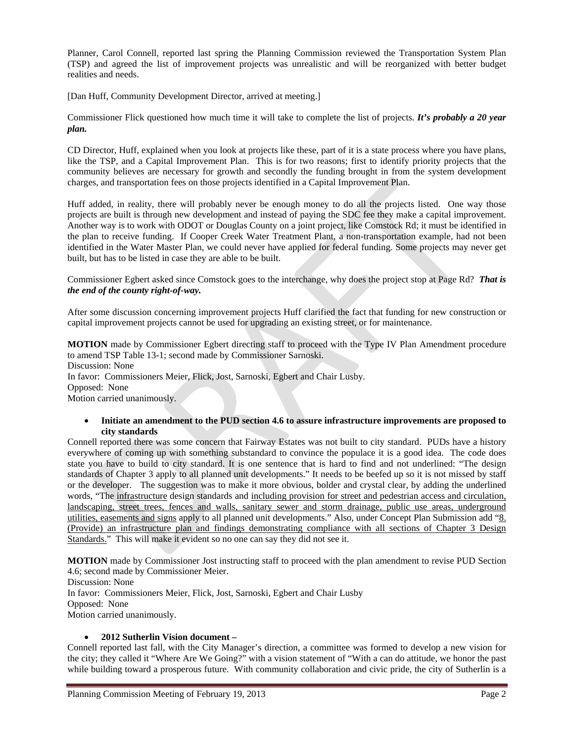Planner, Carol Connell, reported last spring the Planning Commission reviewed the Transportation System Plan (TSP) and agreed the list of improvement projects was unrealistic and will be reorganized with better budget realities and needs.

[Dan Huff, Community Development Director, arrived at meeting.]

Commissioner Flick questioned how much time it will take to complete the list of projects. *It's probably a 20 year plan.* 

CD Director, Huff, explained when you look at projects like these, part of it is a state process where you have plans, like the TSP, and a Capital Improvement Plan. This is for two reasons; first to identify priority projects that the community believes are necessary for growth and secondly the funding brought in from the system development charges, and transportation fees on those projects identified in a Capital Improvement Plan.

Huff added, in reality, there will probably never be enough money to do all the projects listed. One way those projects are built is through new development and instead of paying the SDC fee they make a capital improvement. Another way is to work with ODOT or Douglas County on a joint project, like Comstock Rd; it must be identified in the plan to receive funding. If Cooper Creek Water Treatment Plant, a non-transportation example, had not been identified in the Water Master Plan, we could never have applied for federal funding. Some projects may never get built, but has to be listed in case they are able to be built.

Commissioner Egbert asked since Comstock goes to the interchange, why does the project stop at Page Rd? *That is the end of the county right-of-way.* 

After some discussion concerning improvement projects Huff clarified the fact that funding for new construction or capital improvement projects cannot be used for upgrading an existing street, or for maintenance.

**MOTION** made by Commissioner Egbert directing staff to proceed with the Type IV Plan Amendment procedure to amend TSP Table 13-1; second made by Commissioner Sarnoski. Discussion: None In favor: Commissioners Meier, Flick, Jost, Sarnoski, Egbert and Chair Lusby. Opposed: None Motion carried unanimously.

### **Initiate an amendment to the PUD section 4.6 to assure infrastructure improvements are proposed to city standards**

Connell reported there was some concern that Fairway Estates was not built to city standard. PUDs have a history everywhere of coming up with something substandard to convince the populace it is a good idea. The code does state you have to build to city standard. It is one sentence that is hard to find and not underlined: "The design standards of Chapter 3 apply to all planned unit developments." It needs to be beefed up so it is not missed by staff or the developer. The suggestion was to make it more obvious, bolder and crystal clear, by adding the underlined words, "The infrastructure design standards and including provision for street and pedestrian access and circulation, landscaping, street trees, fences and walls, sanitary sewer and storm drainage, public use areas, underground utilities, easements and signs apply to all planned unit developments." Also, under Concept Plan Submission add "8. (Provide) an infrastructure plan and findings demonstrating compliance with all sections of Chapter 3 Design Standards." This will make it evident so no one can say they did not see it.

**MOTION** made by Commissioner Jost instructing staff to proceed with the plan amendment to revise PUD Section 4.6; second made by Commissioner Meier.

Discussion: None In favor: Commissioners Meier, Flick, Jost, Sarnoski, Egbert and Chair Lusby Opposed: None Motion carried unanimously.

# **2012 Sutherlin Vision document –**

Connell reported last fall, with the City Manager's direction, a committee was formed to develop a new vision for the city; they called it "Where Are We Going?" with a vision statement of "With a can do attitude, we honor the past while building toward a prosperous future. With community collaboration and civic pride, the city of Sutherlin is a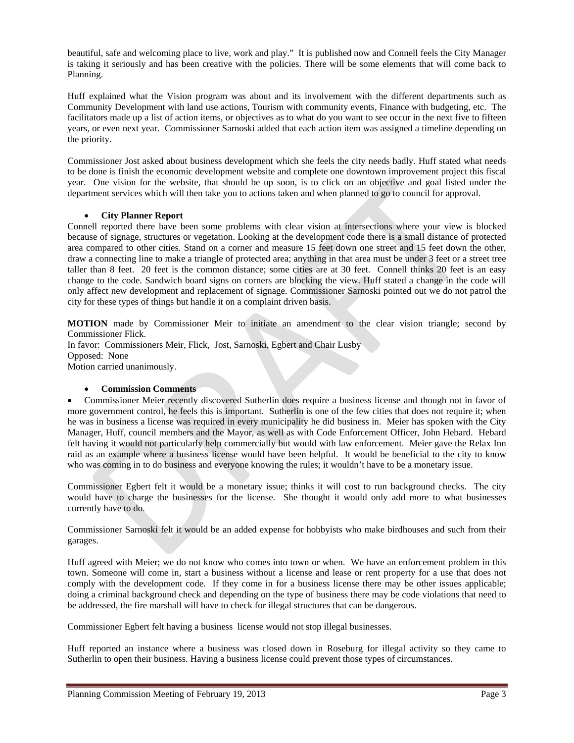beautiful, safe and welcoming place to live, work and play." It is published now and Connell feels the City Manager is taking it seriously and has been creative with the policies. There will be some elements that will come back to Planning.

Huff explained what the Vision program was about and its involvement with the different departments such as Community Development with land use actions, Tourism with community events, Finance with budgeting, etc. The facilitators made up a list of action items, or objectives as to what do you want to see occur in the next five to fifteen years, or even next year. Commissioner Sarnoski added that each action item was assigned a timeline depending on the priority.

Commissioner Jost asked about business development which she feels the city needs badly. Huff stated what needs to be done is finish the economic development website and complete one downtown improvement project this fiscal year. One vision for the website, that should be up soon, is to click on an objective and goal listed under the department services which will then take you to actions taken and when planned to go to council for approval.

# **City Planner Report**

Connell reported there have been some problems with clear vision at intersections where your view is blocked because of signage, structures or vegetation. Looking at the development code there is a small distance of protected area compared to other cities. Stand on a corner and measure 15 feet down one street and 15 feet down the other, draw a connecting line to make a triangle of protected area; anything in that area must be under 3 feet or a street tree taller than 8 feet. 20 feet is the common distance; some cities are at 30 feet. Connell thinks 20 feet is an easy change to the code. Sandwich board signs on corners are blocking the view. Huff stated a change in the code will only affect new development and replacement of signage. Commissioner Sarnoski pointed out we do not patrol the city for these types of things but handle it on a complaint driven basis.

**MOTION** made by Commissioner Meir to initiate an amendment to the clear vision triangle; second by Commissioner Flick.

In favor: Commissioners Meir, Flick, Jost, Sarnoski, Egbert and Chair Lusby Opposed: None Motion carried unanimously.

# **Commission Comments**

 Commissioner Meier recently discovered Sutherlin does require a business license and though not in favor of more government control, he feels this is important. Sutherlin is one of the few cities that does not require it; when he was in business a license was required in every municipality he did business in. Meier has spoken with the City Manager, Huff, council members and the Mayor, as well as with Code Enforcement Officer, John Hebard. Hebard felt having it would not particularly help commercially but would with law enforcement. Meier gave the Relax Inn raid as an example where a business license would have been helpful. It would be beneficial to the city to know who was coming in to do business and everyone knowing the rules; it wouldn't have to be a monetary issue.

Commissioner Egbert felt it would be a monetary issue; thinks it will cost to run background checks. The city would have to charge the businesses for the license. She thought it would only add more to what businesses currently have to do.

Commissioner Sarnoski felt it would be an added expense for hobbyists who make birdhouses and such from their garages.

Huff agreed with Meier; we do not know who comes into town or when. We have an enforcement problem in this town. Someone will come in, start a business without a license and lease or rent property for a use that does not comply with the development code. If they come in for a business license there may be other issues applicable; doing a criminal background check and depending on the type of business there may be code violations that need to be addressed, the fire marshall will have to check for illegal structures that can be dangerous.

Commissioner Egbert felt having a business license would not stop illegal businesses.

Huff reported an instance where a business was closed down in Roseburg for illegal activity so they came to Sutherlin to open their business. Having a business license could prevent those types of circumstances.